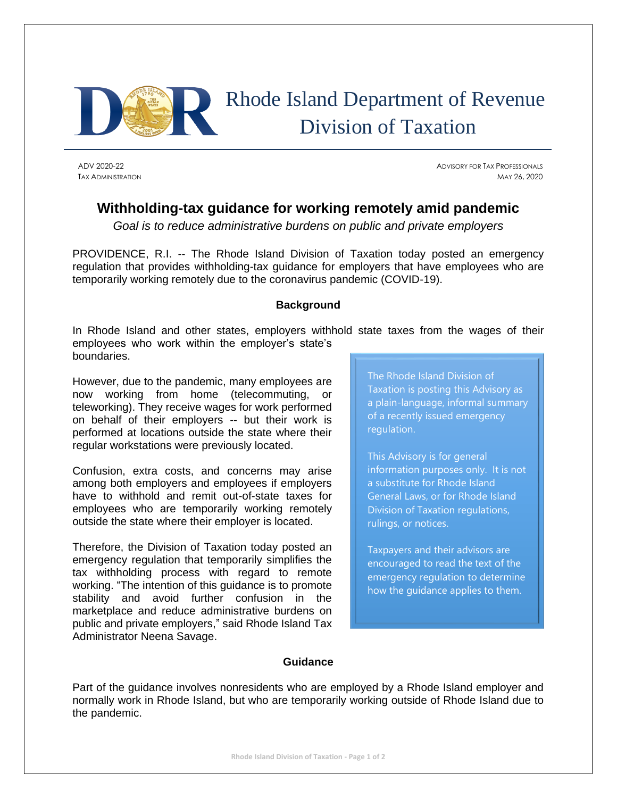

## Rhode Island Department of Revenue Division of Taxation

ADV 2020-22 ADVISORY FOR TAX PROFESSIONALS TAX ADMINISTRATION MAY 26, 2020

## **Withholding-tax guidance for working remotely amid pandemic**

*Goal is to reduce administrative burdens on public and private employers*

PROVIDENCE, R.I. -- The Rhode Island Division of Taxation today posted an emergency regulation that provides withholding-tax guidance for employers that have employees who are temporarily working remotely due to the coronavirus pandemic (COVID-19).

## **Background**

In Rhode Island and other states, employers withhold state taxes from the wages of their employees who work within the employer's state's boundaries.

However, due to the pandemic, many employees are now working from home (telecommuting, or teleworking). They receive wages for work performed on behalf of their employers -- but their work is performed at locations outside the state where their regular workstations were previously located.

Confusion, extra costs, and concerns may arise among both employers and employees if employers have to withhold and remit out-of-state taxes for employees who are temporarily working remotely outside the state where their employer is located.

Therefore, the Division of Taxation today posted an emergency regulation that temporarily simplifies the tax withholding process with regard to remote working. "The intention of this guidance is to promote stability and avoid further confusion in the marketplace and reduce administrative burdens on public and private employers," said Rhode Island Tax Administrator Neena Savage.

The Rhode Island Division of Taxation is posting this Advisory as a plain-language, informal summary of a recently issued emergency regulation.

This Advisory is for general information purposes only. It is not a substitute for Rhode Island General Laws, or for Rhode Island Division of Taxation regulations, rulings, or notices.

Taxpayers and their advisors are encouraged to read the text of the emergency regulation to determine how the guidance applies to them.

## **Guidance**

Part of the guidance involves nonresidents who are employed by a Rhode Island employer and normally work in Rhode Island, but who are temporarily working outside of Rhode Island due to the pandemic.